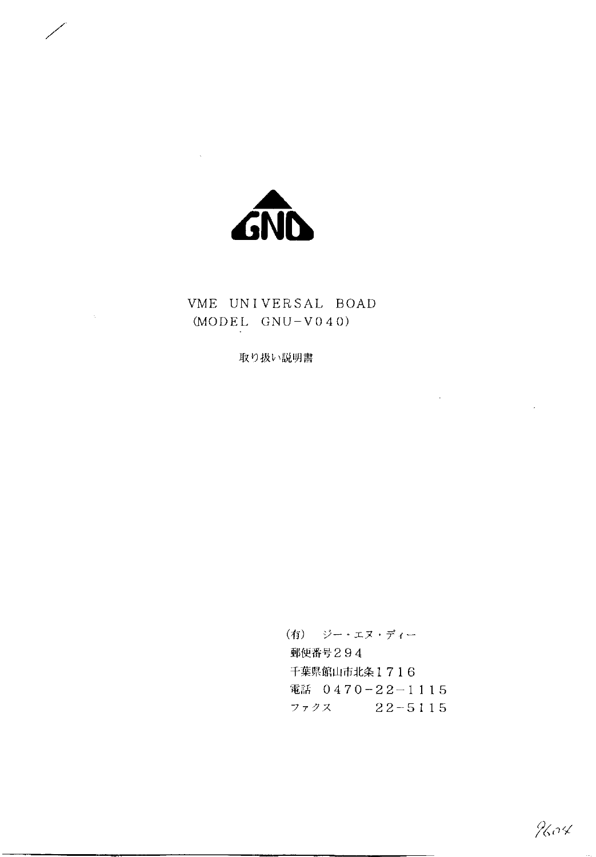

 $\sim$   $\alpha$ 

## VME UNIVERSAL BOAD  $(MODEL GWU-V040)$

取り扱い説明書

(有) ジー・エヌ・ディー 郵便番号294 千葉県館山市北条1716 電話 0470-22-1115  $7777$   $22-5115$ 

9604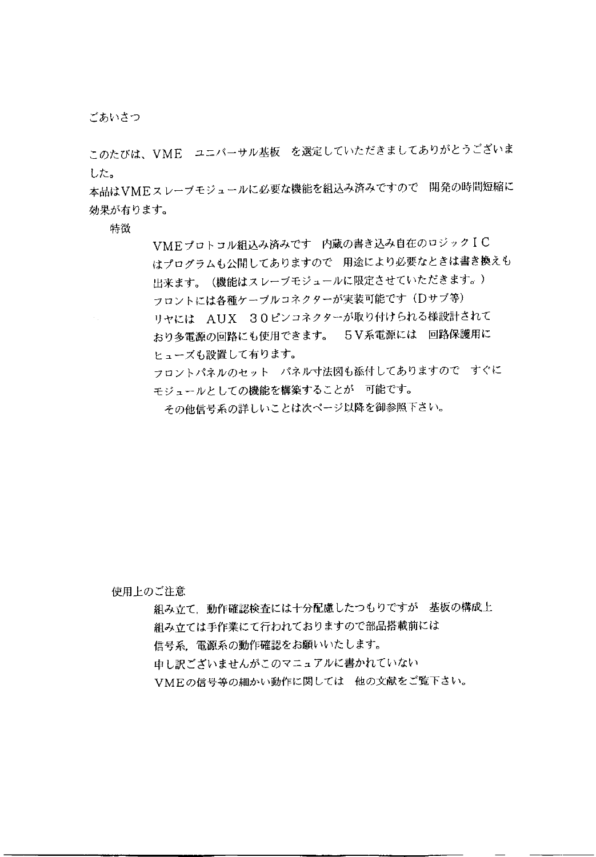ごあいさつ

このたびは、VME ユニバーサル基板 を選定していただきましてありがとうございま した。

本品はVMEスレーブモジュールに必要な機能を組込み済みですので 開発の時間短縮に 効果が有ります。

特徴

VMEプロトコル組込み済みです 内蔵の書き込み自在のロジックIC はプログラムも公開してありますので 用途により必要なときは書き換えも 出来ます。(機能はスレーブモジュールに限定させていただきます。) フロントには各種ケーブルコネクターが実装可能です (Dサブ等) リヤには AUX 30ピンコネクターが取り付けられる様設計されて おり多電源の回路にも使用できます。 5V系電源には 回路保護用に ヒューズも設置して有ります。 フロントパネルのセット パネル寸法図も添付してありますので すぐに モジュールとしての機能を構築することが 可能です。 その他信号系の詳しいことは次ページ以降を御参照下さい。

使用上のご注意

組み立て、動作確認検査には十分配慮したつもりですが 基板の構成上

組み立ては手作業にて行われておりますので部品搭載前には

信号系、電源系の動作確認をお願いいたします。

申し訳ございませんがこのマニュアルに書かれていない

VMEの信号等の細かい動作に関しては 他の文献をご覧下さい。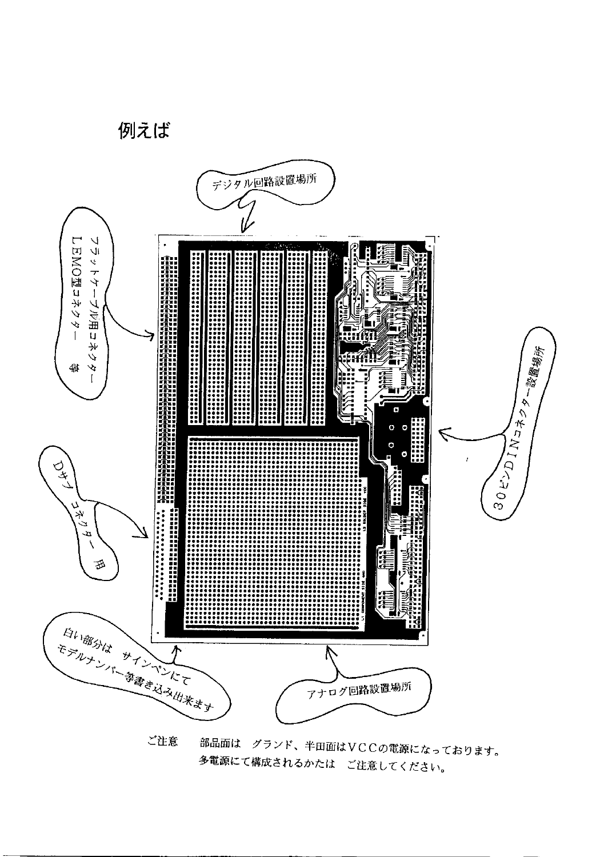

多電源にて構成されるかたは ご注意してください。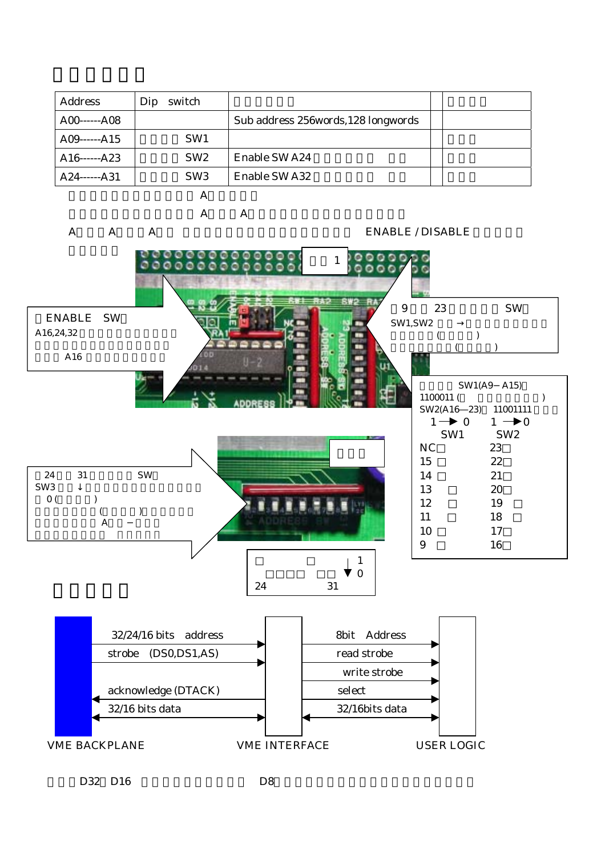| <b>Address</b>     | switch<br>Dip   |                                      |  |
|--------------------|-----------------|--------------------------------------|--|
| $A00$ ------ $A08$ |                 | Sub address 256 words, 128 longwords |  |
| $A09$ ------ $A15$ | SW <sub>1</sub> |                                      |  |
| $A16$ ------ $A23$ | SW <sub>2</sub> | <b>Enable SW A24</b>                 |  |
| $A24$ ----- $A31$  | SW <sub>3</sub> | <b>Enable SW A32</b>                 |  |
|                    |                 |                                      |  |



D32 D16 D8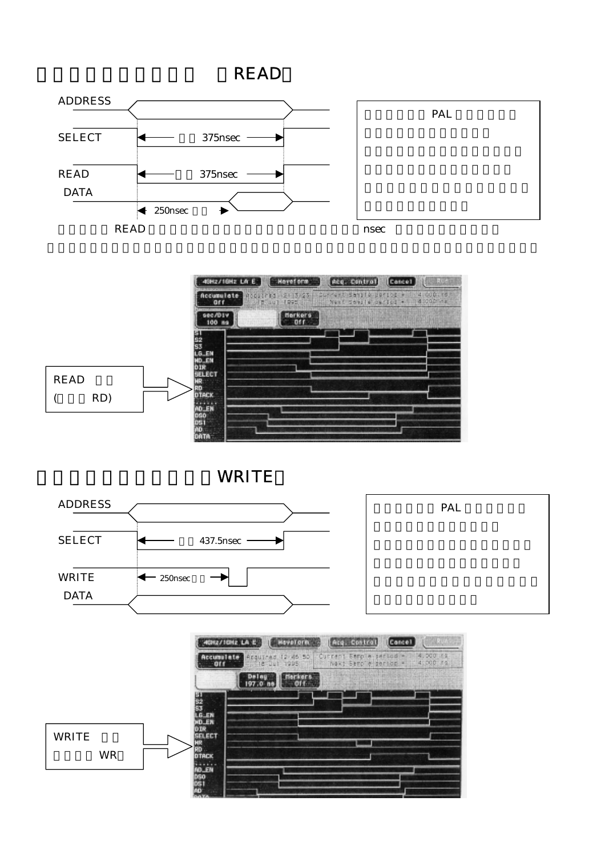





WRITE



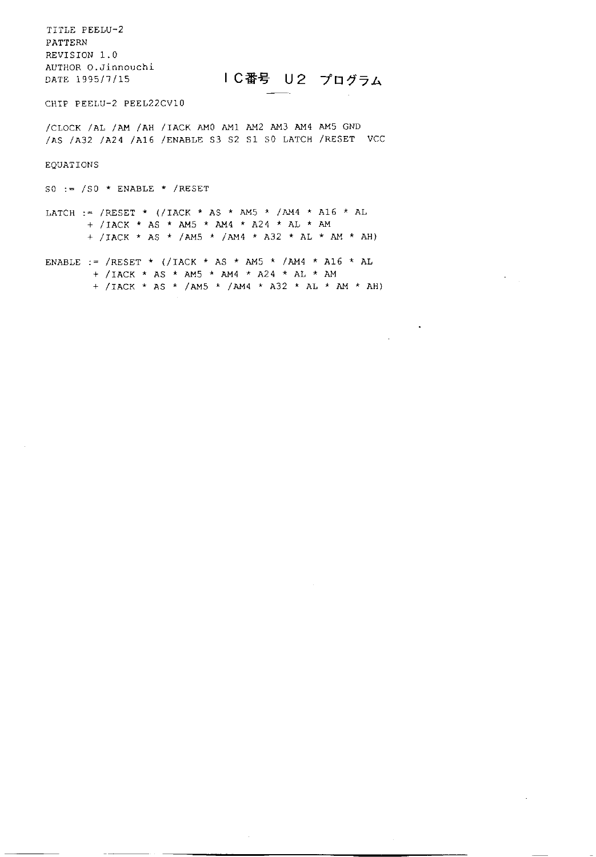TITLE PEELU-2 PATTERN REVISION 1.0 AUTHOR O.Jinnouchi DATE 1995/7/15

IC番号 U2 プログラム

 $\bullet$ 

 $\alpha$ 

CHIP PEELU-2 PEEL22CV10

/CLOCK /AL /AM /AH /IACK AM0 AM1 AM2 AM3 AM4 AM5 GND /AS /A32 /A24 /A16 /ENABLE S3 S2 S1 S0 LATCH /RESET VCC

EQUATIONS

SO :=  $/S0 *$  ENABLE \* /RESET

LATCH := /RESET \* (/IACK \* AS \* AM5 \* /AM4 \* A16 \* AL + /IACK \* AS \* AM5 \* AM4 \* A24 \* AL \* AM + /IACK \* AS \* /AM5 \* /AM4 \* A32 \* AL \* AM \* AH)

ENABLE := /RESET \* (/IACK \* AS \* AM5 \* /AM4 \* A16 \* AL + /IACK \* AS \* AM5 \* AM4 \* A24 \* AL \* AM + /IACK \* AS \* /AM5 \* /AM4 \* A32 \* AL \* AM \* AH)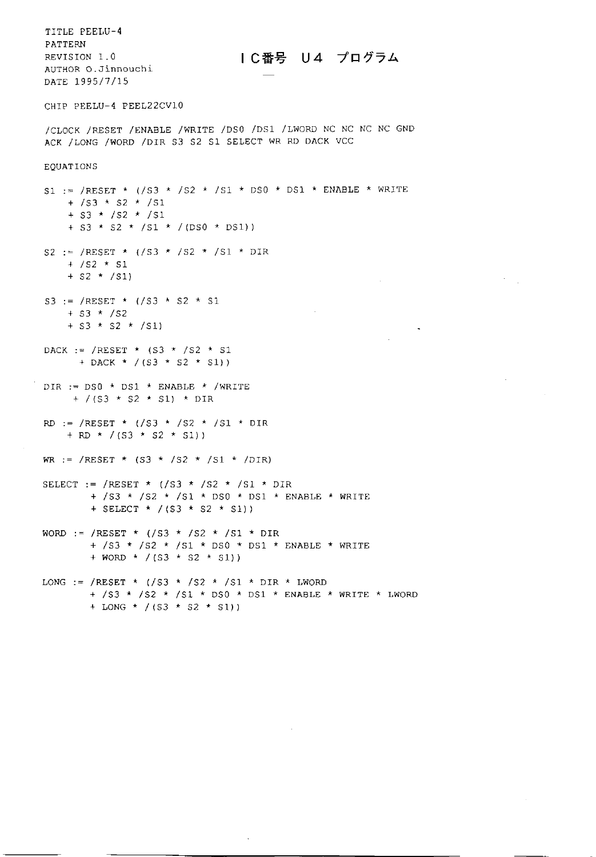TITLE PEELU-4 **PATTERN** REVISION 1.0 AUTHOR O.Jinnouchi DATE 1995/7/15

Ⅰ C番号 U4 プログラム

 $\mathcal{L}_{\text{max}}$ 

 $\mathcal{L}$ 

CHIP PEELU-4 PEEL22CV10

/CLOCK /RESET /ENABLE /WRITE /DS0 /DS1 /LWORD NC NC NC NC GND ACK / LONG / WORD / DIR S3 S2 S1 SELECT WR RD DACK VCC

EQUATIONS

S1 := /RESET \* (/S3 \* /S2 \* /S1 \* DS0 \* DS1 \* ENABLE \* WRITE + /s3 \* s2 \* /s1 +  $S3 \star /S2 \star /S1$ + S3 \* S2 \* /S1 \* /(DS0 \* DS1)) S2 := /RESET \*  $($ /S3 \* /S2 \* /S1 \* DIR  $+ /S2 \times S1$  $+$  S2  $*$  /S1) S3 := /RESET \*  $($ /S3 \* S2 \* S1  $+$  S3  $*$  /S2 +  $S3 \star S2 \star /SI$  $\sim 10^{-1}$ DACK := /RESET \*  $(S3 \times /S2 \times S1$ + DACK \* /(S3 \* S2 \* S1)) DIR := DS0 \* DS1 \* ENABLE \* /WRITE + /(S3 \* S2 \* S1) \* DIR RD := /RESET \* (/S3 \* /S2 \* /S1 \* DIR + RD \* /(S3 \* S2 \* S1)) WR := /RESET \*  $(S3 \times /S2 \times /S1 \times /DIR)$ SELECT := /RESET \* (/S3 \* /S2 \* /S1 \* DIR + /S3 \* /S2 \* /S1 \* DS0 \* DS1 \* ENABLE \* WRITE + SELECT \* /(S3 \* S2 \* S1)) WORD := /RESET \*  $($ /S3 \* /S2 \* /S1 \* DIR + /S3 \* /S2 \* /S1 \* DS0 \* DS1 \* ENABLE \* WRITE + WORD \* /(S3 \* S2 \* S1)) LONG := /RESET \* (/S3 \* /S2 \* /S1 \* DIR \* LWORD + /S3 \* /S2 \* /S1 \* DS0 \* DS1 \* ENABLE \* WRITE \* LWORD + LONG \* /(S3 \* S2 \* S1))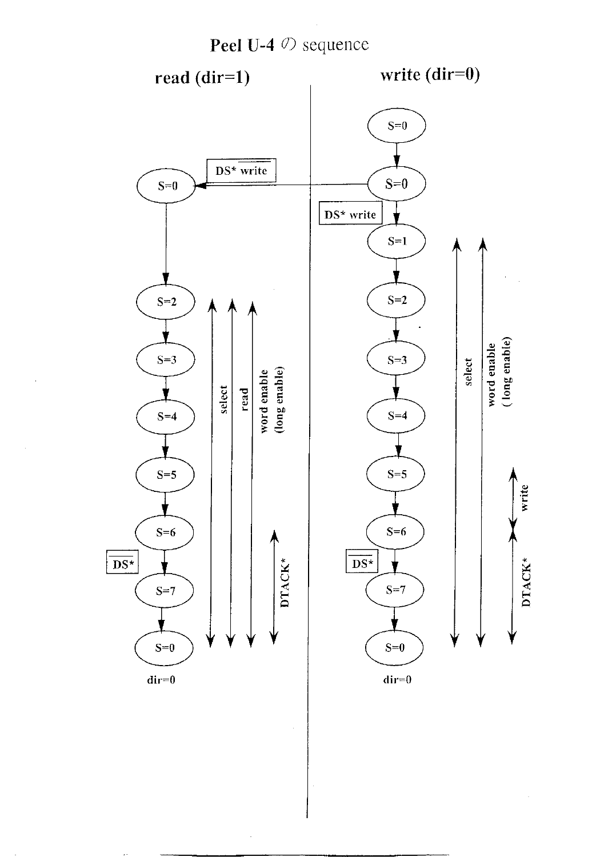

 $\overline{\phantom{a}}$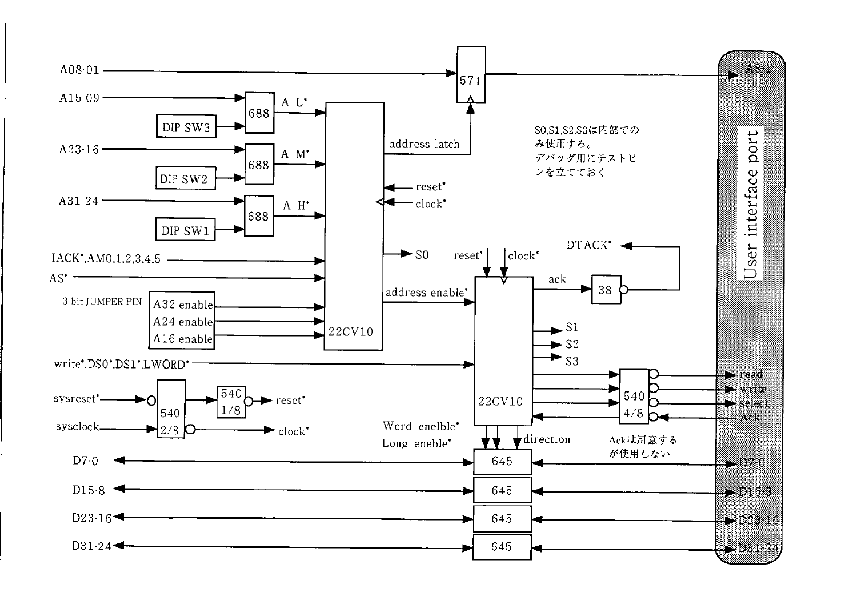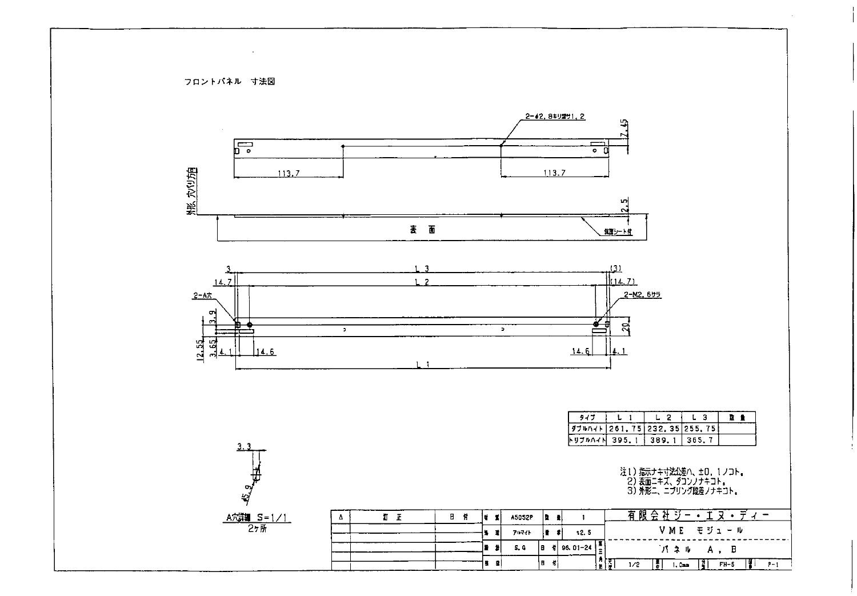フロントパネル 寸法図

 $\bullet$